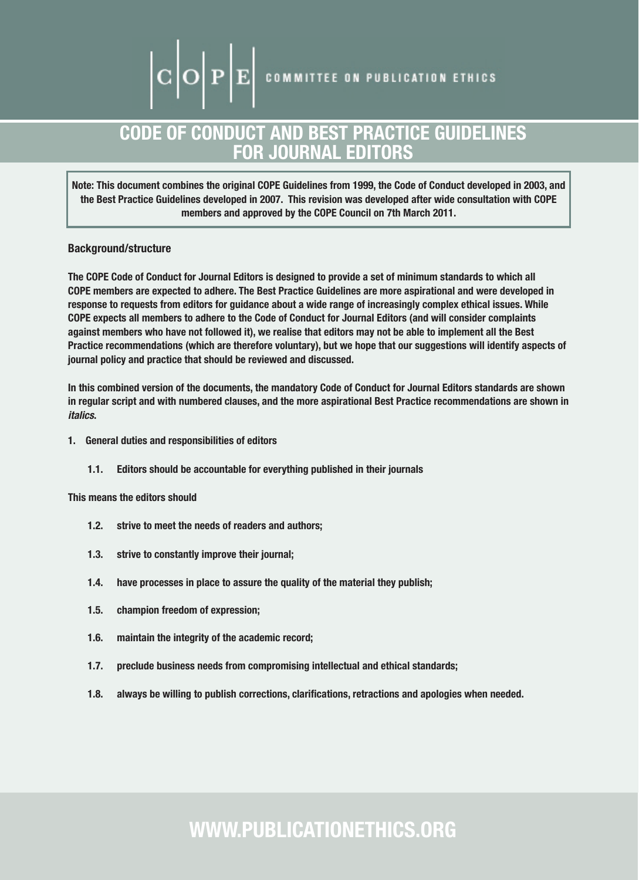## CODE OF CONDUCT AND BEST PRACTICE GUIDELINES FOR JOURNAL EDITORS

Note: This document combines the original COPE Guidelines from 1999, the Code of Conduct developed in 2003, and the Best Practice Guidelines developed in 2007. This revision was developed after wide consultation with COPE members and approved by the COPE Council on 7th March 2011.

## Background/structure

The COPE Code of Conduct for Journal Editors is designed to provide a set of minimum standards to which all COPE members are expected to adhere. The Best Practice Guidelines are more aspirational and were developed in response to requests from editors for guidance about a wide range of increasingly complex ethical issues. While COPE expects all members to adhere to the Code of Conduct for Journal Editors (and will consider complaints against members who have not followed it), we realise that editors may not be able to implement all the Best Practice recommendations (which are therefore voluntary), but we hope that our suggestions will identify aspects of journal policy and practice that should be reviewed and discussed.

In this combined version of the documents, the mandatory Code of Conduct for Journal Editors standards are shown in regular script and with numbered clauses, and the more aspirational Best Practice recommendations are shown in *italics*.

- 1. General duties and responsibilities of editors
	- 1.1. Editors should be accountable for everything published in their journals

This means the editors should

- 1.2. strive to meet the needs of readers and authors;
- 1.3. strive to constantly improve their journal;
- 1.4. have processes in place to assure the quality of the material they publish;
- 1.5. champion freedom of expression;
- 1.6. maintain the integrity of the academic record;
- 1.7. preclude business needs from compromising intellectual and ethical standards;
- 1.8. always be willing to publish corrections, clarifications, retractions and apologies when needed.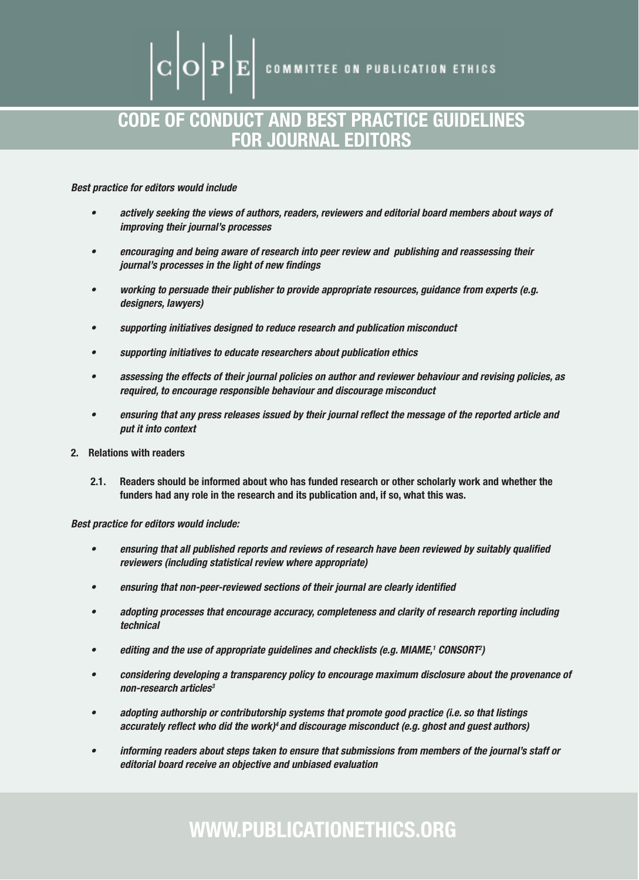**COMMITTEE ON PUBLICATION ETHICS** 

## CODE OF CONDUCT AND BEST PRACTICE GUIDELINES FOR JOURNAL EDITORS

*Best practice for editors would include*

- • *actively seeking the views of authors, readers, reviewers and editorial board members about ways of improving their journal's processes*
- • *encouraging and being aware of research into peer review and publishing and reassessing their journal's processes in the light of new findings*
- • *working to persuade their publisher to provide appropriate resources, guidance from experts (e.g. designers, lawyers)*
- • *supporting initiatives designed to reduce research and publication misconduct*
- supporting initiatives to educate researchers about publication ethics
- • *assessing the effects of their journal policies on author and reviewer behaviour and revising policies, as required, to encourage responsible behaviour and discourage misconduct*
- ensuring that any press releases issued by their journal reflect the message of the reported article and *put it into context*
- 2. Relations with readers
	- 2.1. Readers should be informed about who has funded research or other scholarly work and whether the funders had any role in the research and its publication and, if so, what this was.

*Best practice for editors would include:*

- ensuring that all published reports and reviews of research have been reviewed by suitably qualified *reviewers (including statistical review where appropriate)*
- ensuring that non-peer-reviewed sections of their journal are clearly identified
- • *adopting processes that encourage accuracy, completeness and clarity of research reporting including technical*
- *editing and the use of appropriate guidelines and checklists (e.g. MIAME,<sup>1</sup> CONSORT<sup>2</sup>)*
- • *considering developing a transparency policy to encourage maximum disclosure about the provenance of non-research articles3*
- • *adopting authorship or contributorship systems that promote good practice (i.e. so that listings accurately reflect who did the work)4 and discourage misconduct (e.g. ghost and guest authors)*
- • *informing readers about steps taken to ensure that submissions from members of the journal's staff or editorial board receive an objective and unbiased evaluation*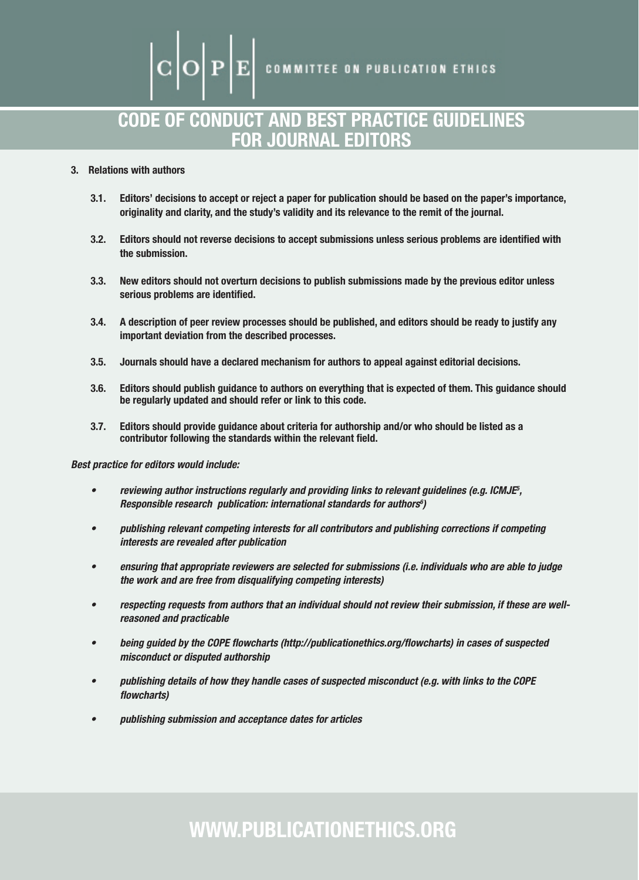**COMMITTEE ON PUBLICATION ETHICS** 

## CODE OF CONDUCT AND BEST PRACTICE GUIDELINES FOR JOURNAL EDITORS

## 3. Relations with authors

- 3.1. Editors' decisions to accept or reject a paper for publication should be based on the paper's importance, originality and clarity, and the study's validity and its relevance to the remit of the journal.
- 3.2. Editors should not reverse decisions to accept submissions unless serious problems are identified with the submission.
- 3.3. New editors should not overturn decisions to publish submissions made by the previous editor unless serious problems are identified.
- 3.4. A description of peer review processes should be published, and editors should be ready to justify any important deviation from the described processes.
- 3.5. Journals should have a declared mechanism for authors to appeal against editorial decisions.
- 3.6. Editors should publish guidance to authors on everything that is expected of them. This guidance should be regularly updated and should refer or link to this code.
- 3.7. Editors should provide guidance about criteria for authorship and/or who should be listed as a contributor following the standards within the relevant field.

#### *Best practice for editors would include:*

- *reviewing author instructions regularly and providing links to relevant guidelines (e.g. ICMJE<sup>5</sup>,* Responsible research publication: international standards for authors<sup>6</sup>)
- • *publishing relevant competing interests for all contributors and publishing corrections if competing interests are revealed after publication*
- • *ensuring that appropriate reviewers are selected for submissions (i.e. individuals who are able to judge the work and are free from disqualifying competing interests)*
- • *respecting requests from authors that an individual should not review their submission, if these are wellreasoned and practicable*
- being guided by the COPE flowcharts (http://publicationethics.org/flowcharts) in cases of suspected *misconduct or disputed authorship*
- publishing details of how they handle cases of suspected misconduct (e.g. with links to the COPE *flowcharts)*
- • *publishing submission and acceptance dates for articles*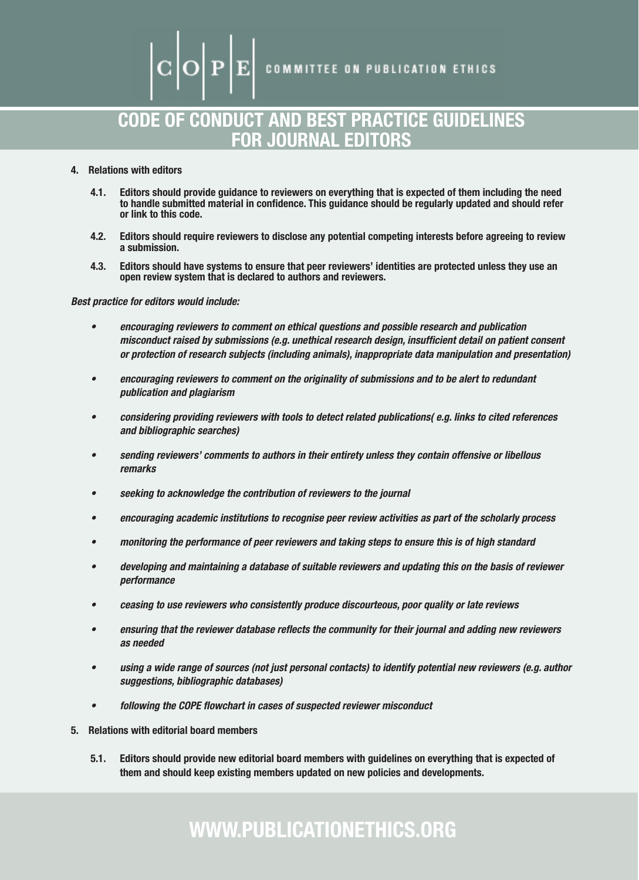**COMMITTEE ON PUBLICATION ETHICS** 

## CODE OF CONDUCT AND BEST PRACTICE GUIDELINES FOR JOURNAL EDITORS

- 4. Relations with editors
	- 4.1. Editors should provide guidance to reviewers on everything that is expected of them including the need to handle submitted material in confidence. This guidance should be regularly updated and should refer or link to this code.
	- 4.2. Editors should require reviewers to disclose any potential competing interests before agreeing to review a submission.
	- 4.3. Editors should have systems to ensure that peer reviewers' identities are protected unless they use an open review system that is declared to authors and reviewers.

*Best practice for editors would include:*

- • *encouraging reviewers to comment on ethical questions and possible research and publication misconduct raised by submissions (e.g. unethical research design, insufficient detail on patient consent or protection of research subjects (including animals), inappropriate data manipulation and presentation)*
- encouraging reviewers to comment on the originality of submissions and to be alert to redundant *publication and plagiarism*
- • *considering providing reviewers with tools to detect related publications( e.g. links to cited references and bibliographic searches)*
- sending reviewers' comments to authors in their entirety unless they contain offensive or libellous *remarks*
- seeking to acknowledge the contribution of reviewers to the journal
- • *encouraging academic institutions to recognise peer review activities as part of the scholarly process*
- • *monitoring the performance of peer reviewers and taking steps to ensure this is of high standard*
- developing and maintaining a database of suitable reviewers and updating this on the basis of reviewer *performance*
- • *ceasing to use reviewers who consistently produce discourteous, poor quality or late reviews*
- • *ensuring that the reviewer database reflects the community for their journal and adding new reviewers as needed*
- • *using a wide range of sources (not just personal contacts) to identify potential new reviewers (e.g. author suggestions, bibliographic databases)*
- • *following the COPE flowchart in cases of suspected reviewer misconduct*
- 5. Relations with editorial board members
	- 5.1. Editors should provide new editorial board members with guidelines on everything that is expected of them and should keep existing members updated on new policies and developments.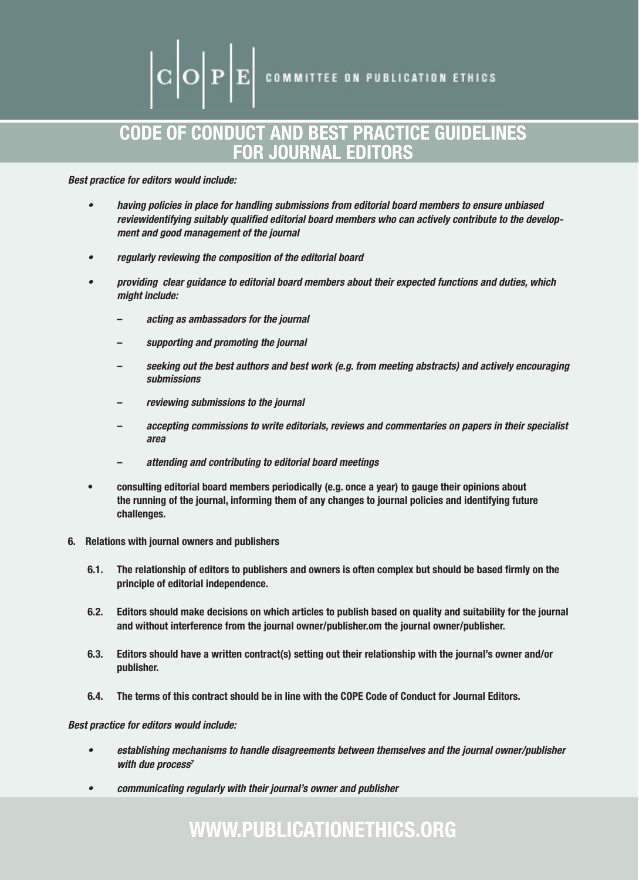## CODE OF CONDUCT AND BEST PRACTICE GUIDELINES FOR JOURNAL EDITORS

### *Best practice for editors would include:*

- having policies in place for handling submissions from editorial board members to ensure unbiased *reviewidentifying suitably qualified editorial board members who can actively contribute to the development and good management of the journal*
- • *regularly reviewing the composition of the editorial board*
- • *providing clear guidance to editorial board members about their expected functions and duties, which might include:*
	- *acting as ambassadors for the journal*
	- *supporting and promoting the journal*
	- *seeking out the best authors and best work (e.g. from meeting abstracts) and actively encouraging submissions*
	- *reviewing submissions to the journal*
	- *accepting commissions to write editorials, reviews and commentaries on papers in their specialist area*
	- *attending and contributing to editorial board meetings*
- • consulting editorial board members periodically (e.g. once a year) to gauge their opinions about the running of the journal, informing them of any changes to journal policies and identifying future challenges.
- 6. Relations with journal owners and publishers
	- 6.1. The relationship of editors to publishers and owners is often complex but should be based firmly on the principle of editorial independence.
	- 6.2. Editors should make decisions on which articles to publish based on quality and suitability for the journal and without interference from the journal owner/publisher.om the journal owner/publisher.
	- 6.3. Editors should have a written contract(s) setting out their relationship with the journal's owner and/or publisher.
	- 6.4. The terms of this contract should be in line with the COPE Code of Conduct for Journal Editors.

#### *Best practice for editors would include:*

- • *establishing mechanisms to handle disagreements between themselves and the journal owner/publisher with due process7*
- • *communicating regularly with their journal's owner and publisher*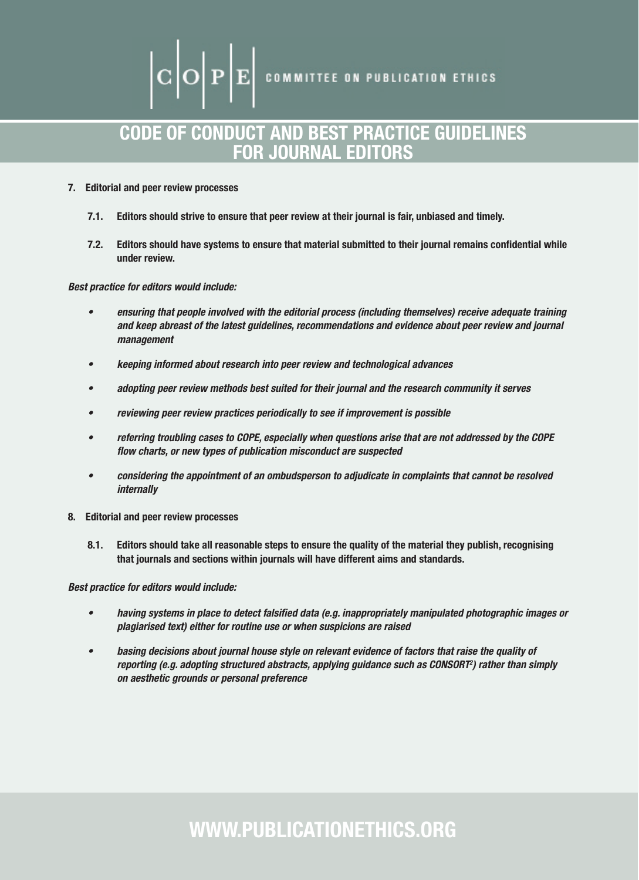$|\mathbf{C}|\mathbf{O}|\mathbf{P}|\mathbf{E}|$  committee on publication ethics

## CODE OF CONDUCT AND BEST PRACTICE GUIDELINES FOR JOURNAL EDITORS

#### 7. Editorial and peer review processes

- 7.1. Editors should strive to ensure that peer review at their journal is fair, unbiased and timely.
- 7.2. Editors should have systems to ensure that material submitted to their journal remains confidential while under review.

#### *Best practice for editors would include:*

- • *ensuring that people involved with the editorial process (including themselves) receive adequate training and keep abreast of the latest guidelines, recommendations and evidence about peer review and journal management*
- • *keeping informed about research into peer review and technological advances*
- adopting peer review methods best suited for their journal and the research community it serves
- reviewing peer review practices periodically to see if improvement is possible
- referring troubling cases to COPE, especially when questions arise that are not addressed by the COPE *flow charts, or new types of publication misconduct are suspected*
- • *considering the appointment of an ombudsperson to adjudicate in complaints that cannot be resolved internally*
- 8. Editorial and peer review processes
	- 8.1. Editors should take all reasonable steps to ensure the quality of the material they publish, recognising that journals and sections within journals will have different aims and standards.

*Best practice for editors would include:*

- • *having systems in place to detect falsified data (e.g. inappropriately manipulated photographic images or plagiarised text) either for routine use or when suspicions are raised*
- • *basing decisions about journal house style on relevant evidence of factors that raise the quality of reporting (e.g. adopting structured abstracts, applying guidance such as CONSORT2 ) rather than simply on aesthetic grounds or personal preference*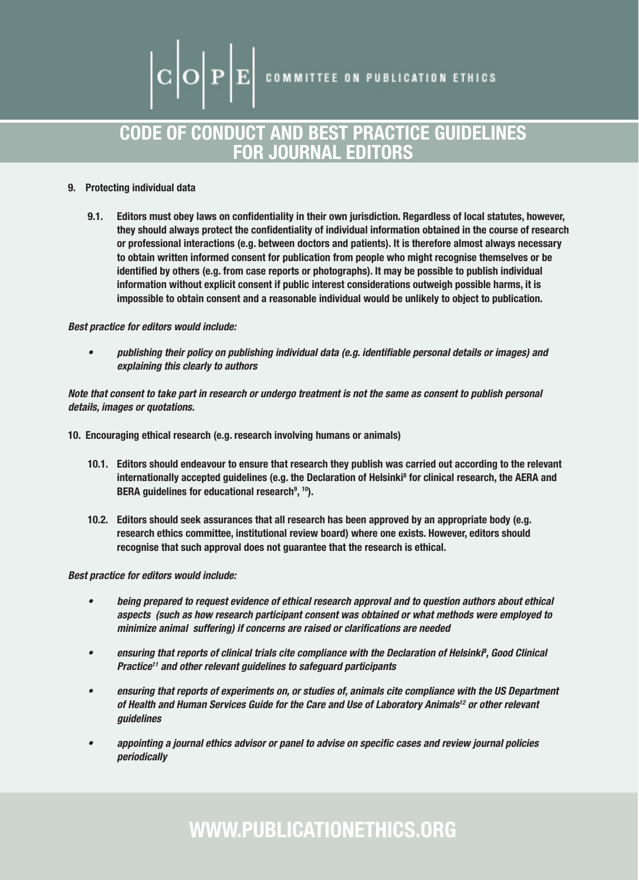# $|\mathrm{C}\big|\mathrm{O}\big|\mathrm{P}\big|\mathrm{E}\big|$  committee on publication ethics

## CODE OF CONDUCT AND BEST PRACTICE GUIDELINES FOR JOURNAL EDITORS

### 9. Protecting individual data

9.1. Editors must obey laws on confidentiality in their own jurisdiction. Regardless of local statutes, however, they should always protect the confidentiality of individual information obtained in the course of research or professional interactions (e.g. between doctors and patients). It is therefore almost always necessary to obtain written informed consent for publication from people who might recognise themselves or be identified by others (e.g. from case reports or photographs). It may be possible to publish individual information without explicit consent if public interest considerations outweigh possible harms, it is impossible to obtain consent and a reasonable individual would be unlikely to object to publication.

#### *Best practice for editors would include:*

• *publishing their policy on publishing individual data (e.g. identifiable personal details or images) and explaining this clearly to authors*

*Note that consent to take part in research or undergo treatment is not the same as consent to publish personal details, images or quotations.*

10. Encouraging ethical research (e.g. research involving humans or animals)

- 10.1. Editors should endeavour to ensure that research they publish was carried out according to the relevant internationally accepted guidelines (e.g. the Declaration of Helsinki<sup>8</sup> for clinical research, the AERA and BERA guidelines for educational research<sup>9</sup>, <sup>10</sup>).
- 10.2. Editors should seek assurances that all research has been approved by an appropriate body (e.g. research ethics committee, institutional review board) where one exists. However, editors should recognise that such approval does not guarantee that the research is ethical.

*Best practice for editors would include:*

- • *being prepared to request evidence of ethical research approval and to question authors about ethical aspects (such as how research participant consent was obtained or what methods were employed to minimize animal suffering) if concerns are raised or clarifications are needed*
- **•** ensuring that reports of clinical trials cite compliance with the Declaration of Helsinki<sup>8</sup>, Good Clinical *Practice11 and other relevant guidelines to safeguard participants*
- • *ensuring that reports of experiments on, or studies of, animals cite compliance with the US Department of Health and Human Services Guide for the Care and Use of Laboratory Animals12 or other relevant guidelines*
- appointing a journal ethics advisor or panel to advise on specific cases and review journal policies *periodically*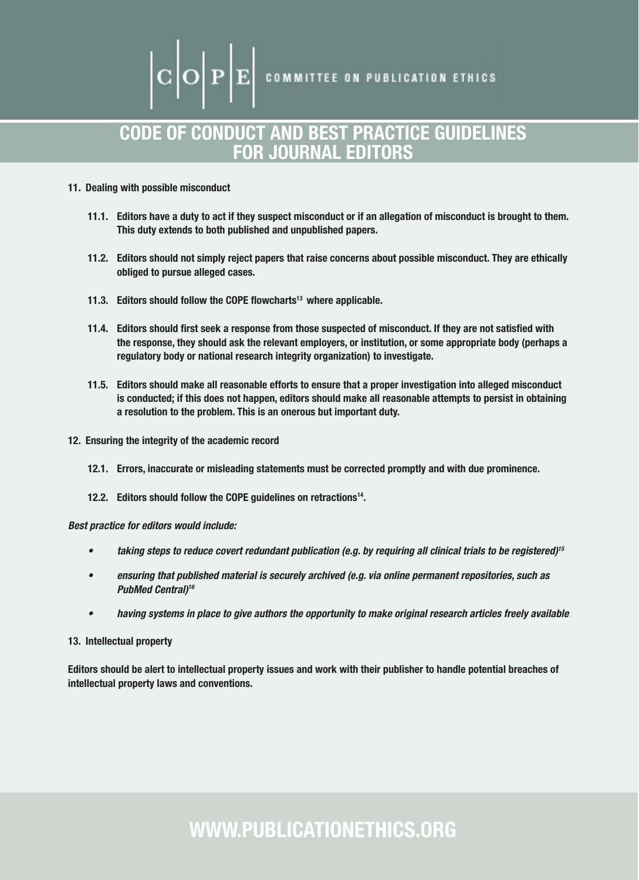$\fbox{\bf C}$   $\fbox{\bf D}$   $\fbox{\bf F}$  committee on publication ethics

## CODE OF CONDUCT AND BEST PRACTICE GUIDELINES FOR JOURNAL EDITORS

#### 11. Dealing with possible misconduct

- 11.1. Editors have a duty to act if they suspect misconduct or if an allegation of misconduct is brought to them. This duty extends to both published and unpublished papers.
- 11.2. Editors should not simply reject papers that raise concerns about possible misconduct. They are ethically obliged to pursue alleged cases.
- 11.3. Editors should follow the COPE flowcharts<sup>13</sup> where applicable.
- 11.4. Editors should first seek a response from those suspected of misconduct. If they are not satisfied with the response, they should ask the relevant employers, or institution, or some appropriate body (perhaps a regulatory body or national research integrity organization) to investigate.
- 11.5. Editors should make all reasonable efforts to ensure that a proper investigation into alleged misconduct is conducted; if this does not happen, editors should make all reasonable attempts to persist in obtaining a resolution to the problem. This is an onerous but important duty.
- 12. Ensuring the integrity of the academic record
	- 12.1. Errors, inaccurate or misleading statements must be corrected promptly and with due prominence.
	- 12.2. Editors should follow the COPE guidelines on retractions<sup>14</sup>.

*Best practice for editors would include:*

- • *taking steps to reduce covert redundant publication (e.g. by requiring all clinical trials to be registered)15*
- ensuring that published material is securely archived (e.g. via online permanent repositories, such as *PubMed Central)16*
- • *having systems in place to give authors the opportunity to make original research articles freely available*

#### 13. Intellectual property

Editors should be alert to intellectual property issues and work with their publisher to handle potential breaches of intellectual property laws and conventions.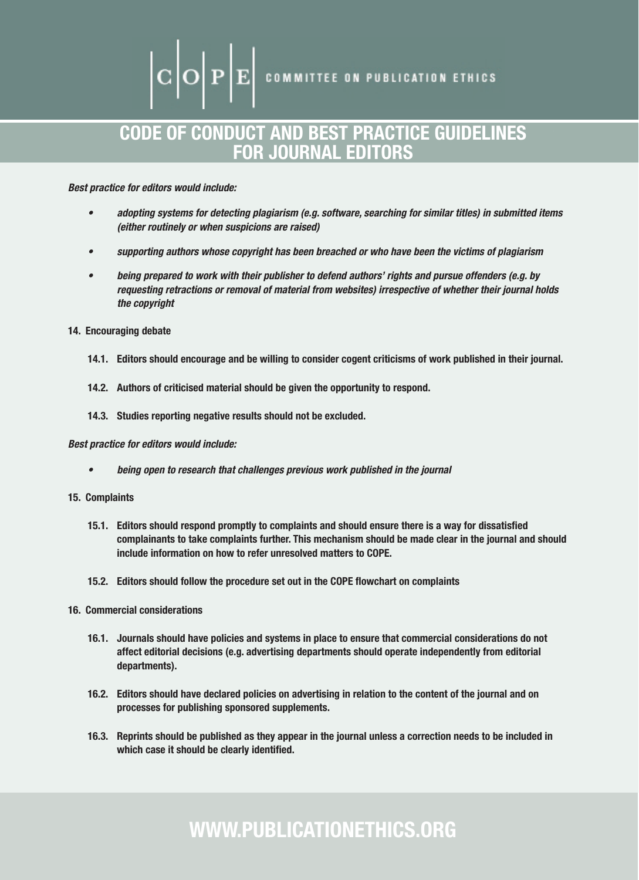# $\left|\mathbf{C}\middle|\mathbf{O}\right|\mathbf{P}\middle|\mathbf{E}\right|$  committee on publication ethics

## CODE OF CONDUCT AND BEST PRACTICE GUIDELINES FOR JOURNAL EDITORS

*Best practice for editors would include:*

- • *adopting systems for detecting plagiarism (e.g. software, searching for similar titles) in submitted items (either routinely or when suspicions are raised)*
- • *supporting authors whose copyright has been breached or who have been the victims of plagiarism*
- being prepared to work with their publisher to defend authors' rights and pursue offenders (e.g. by *requesting retractions or removal of material from websites) irrespective of whether their journal holds the copyright*
- 14. Encouraging debate
	- 14.1. Editors should encourage and be willing to consider cogent criticisms of work published in their journal.
	- 14.2. Authors of criticised material should be given the opportunity to respond.
	- 14.3. Studies reporting negative results should not be excluded.

#### *Best practice for editors would include:*

- being open to research that challenges previous work published in the journal
- 15. Complaints
	- 15.1. Editors should respond promptly to complaints and should ensure there is a way for dissatisfied complainants to take complaints further. This mechanism should be made clear in the journal and should include information on how to refer unresolved matters to COPE.
	- 15.2. Editors should follow the procedure set out in the COPE flowchart on complaints
- 16. Commercial considerations
	- 16.1. Journals should have policies and systems in place to ensure that commercial considerations do not affect editorial decisions (e.g. advertising departments should operate independently from editorial departments).
	- 16.2. Editors should have declared policies on advertising in relation to the content of the journal and on processes for publishing sponsored supplements.
	- 16.3. Reprints should be published as they appear in the journal unless a correction needs to be included in which case it should be clearly identified.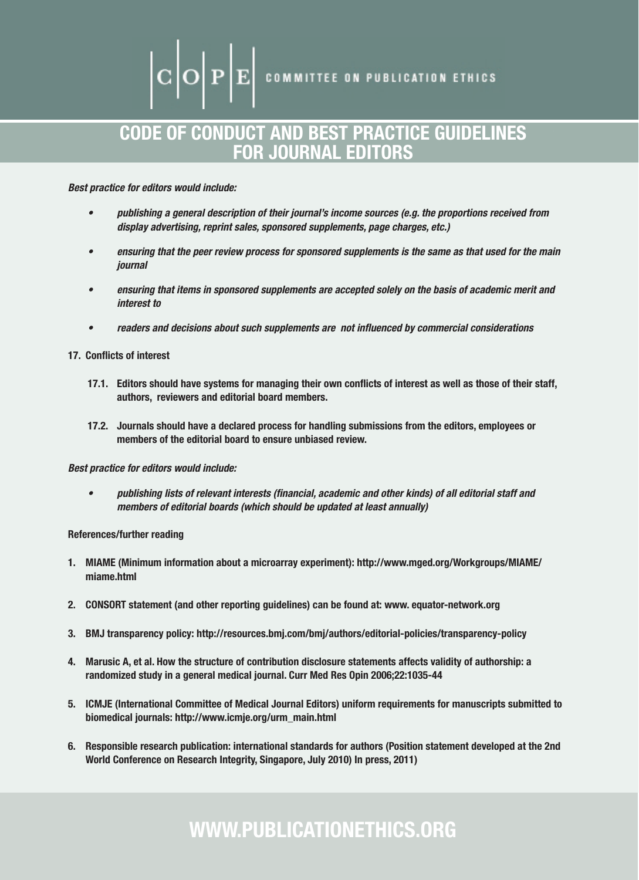# $\mathbf{C} \|\mathbf{O}\|\mathbf{P}\|\mathbf{E}\|$  committee on publication ethics

## CODE OF CONDUCT AND BEST PRACTICE GUIDELINES FOR JOURNAL EDITORS

*Best practice for editors would include:*

- • *publishing a general description of their journal's income sources (e.g. the proportions received from display advertising, reprint sales, sponsored supplements, page charges, etc.)*
- ensuring that the peer review process for sponsored supplements is the same as that used for the main *journal*
- • *ensuring that items in sponsored supplements are accepted solely on the basis of academic merit and interest to*
- • *readers and decisions about such supplements are not influenced by commercial considerations*

#### 17. Conflicts of interest

- 17.1. Editors should have systems for managing their own conflicts of interest as well as those of their staff, authors, reviewers and editorial board members.
- 17.2. Journals should have a declared process for handling submissions from the editors, employees or members of the editorial board to ensure unbiased review.

#### *Best practice for editors would include:*

• *publishing lists of relevant interests (financial, academic and other kinds) of all editorial staff and members of editorial boards (which should be updated at least annually)*

#### References/further reading

- 1. MIAME (Minimum information about a microarray experiment): http://www.mged.org/Workgroups/MIAME/ miame.html
- 2. CONSORT statement (and other reporting guidelines) can be found at: www. equator-network.org
- 3. BMJ transparency policy: http://resources.bmj.com/bmj/authors/editorial-policies/transparency-policy
- 4. Marusic A, et al. How the structure of contribution disclosure statements affects validity of authorship: a randomized study in a general medical journal. Curr Med Res Opin 2006;22:1035-44
- 5. ICMJE (International Committee of Medical Journal Editors) uniform requirements for manuscripts submitted to biomedical journals: http://www.icmje.org/urm\_main.html
- 6. Responsible research publication: international standards for authors (Position statement developed at the 2nd World Conference on Research Integrity, Singapore, July 2010) In press, 2011)